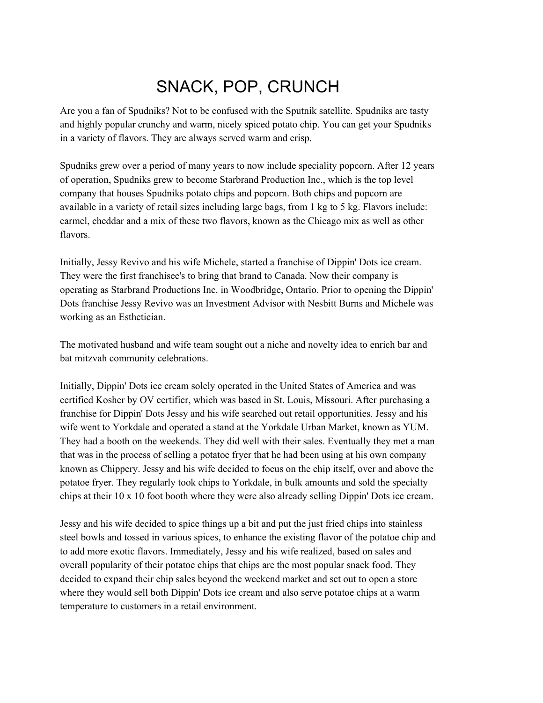## SNACK, POP, CRUNCH

Are you a fan of Spudniks? Not to be confused with the Sputnik satellite. Spudniks are tasty and highly popular crunchy and warm, nicely spiced potato chip. You can get your Spudniks in a variety of flavors. They are always served warm and crisp.

Spudniks grew over a period of many years to now include speciality popcorn. After 12 years of operation, Spudniks grew to become Starbrand Production Inc., which is the top level company that houses Spudniks potato chips and popcorn. Both chips and popcorn are available in a variety of retail sizes including large bags, from 1 kg to 5 kg. Flavors include: carmel, cheddar and a mix of these two flavors, known as the Chicago mix as well as other flavors.

Initially, Jessy Revivo and his wife Michele, started a franchise of Dippin' Dots ice cream. They were the first franchisee's to bring that brand to Canada. Now their company is operating as Starbrand Productions Inc. in Woodbridge, Ontario. Prior to opening the Dippin' Dots franchise Jessy Revivo was an Investment Advisor with Nesbitt Burns and Michele was working as an Esthetician.

The motivated husband and wife team sought out a niche and novelty idea to enrich bar and bat mitzvah community celebrations.

Initially, Dippin' Dots ice cream solely operated in the United States of America and was certified Kosher by OV certifier, which was based in St. Louis, Missouri. After purchasing a franchise for Dippin' Dots Jessy and his wife searched out retail opportunities. Jessy and his wife went to Yorkdale and operated a stand at the Yorkdale Urban Market, known as YUM. They had a booth on the weekends. They did well with their sales. Eventually they met a man that was in the process of selling a potatoe fryer that he had been using at his own company known as Chippery. Jessy and his wife decided to focus on the chip itself, over and above the potatoe fryer. They regularly took chips to Yorkdale, in bulk amounts and sold the specialty chips at their 10 x 10 foot booth where they were also already selling Dippin' Dots ice cream.

Jessy and his wife decided to spice things up a bit and put the just fried chips into stainless steel bowls and tossed in various spices, to enhance the existing flavor of the potatoe chip and to add more exotic flavors. Immediately, Jessy and his wife realized, based on sales and overall popularity of their potatoe chips that chips are the most popular snack food. They decided to expand their chip sales beyond the weekend market and set out to open a store where they would sell both Dippin' Dots ice cream and also serve potatoe chips at a warm temperature to customers in a retail environment.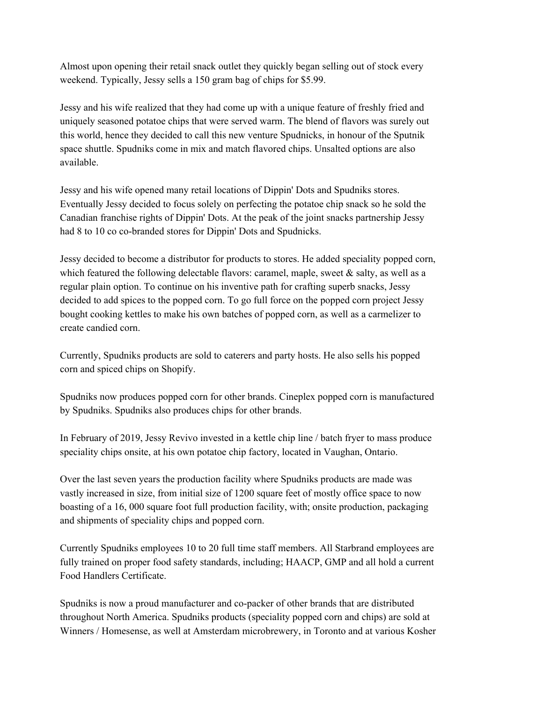Almost upon opening their retail snack outlet they quickly began selling out of stock every weekend. Typically, Jessy sells a 150 gram bag of chips for \$5.99.

Jessy and his wife realized that they had come up with a unique feature of freshly fried and uniquely seasoned potatoe chips that were served warm. The blend of flavors was surely out this world, hence they decided to call this new venture Spudnicks, in honour of the Sputnik space shuttle. Spudniks come in mix and match flavored chips. Unsalted options are also available.

Jessy and his wife opened many retail locations of Dippin' Dots and Spudniks stores. Eventually Jessy decided to focus solely on perfecting the potatoe chip snack so he sold the Canadian franchise rights of Dippin' Dots. At the peak of the joint snacks partnership Jessy had 8 to 10 co co-branded stores for Dippin' Dots and Spudnicks.

Jessy decided to become a distributor for products to stores. He added speciality popped corn, which featured the following delectable flavors: caramel, maple, sweet  $\&$  salty, as well as a regular plain option. To continue on his inventive path for crafting superb snacks, Jessy decided to add spices to the popped corn. To go full force on the popped corn project Jessy bought cooking kettles to make his own batches of popped corn, as well as a carmelizer to create candied corn.

Currently, Spudniks products are sold to caterers and party hosts. He also sells his popped corn and spiced chips on Shopify.

Spudniks now produces popped corn for other brands. Cineplex popped corn is manufactured by Spudniks. Spudniks also produces chips for other brands.

In February of 2019, Jessy Revivo invested in a kettle chip line / batch fryer to mass produce speciality chips onsite, at his own potatoe chip factory, located in Vaughan, Ontario.

Over the last seven years the production facility where Spudniks products are made was vastly increased in size, from initial size of 1200 square feet of mostly office space to now boasting of a 16, 000 square foot full production facility, with; onsite production, packaging and shipments of speciality chips and popped corn.

Currently Spudniks employees 10 to 20 full time staff members. All Starbrand employees are fully trained on proper food safety standards, including; HAACP, GMP and all hold a current Food Handlers Certificate.

Spudniks is now a proud manufacturer and co-packer of other brands that are distributed throughout North America. Spudniks products (speciality popped corn and chips) are sold at Winners / Homesense, as well at Amsterdam microbrewery, in Toronto and at various Kosher